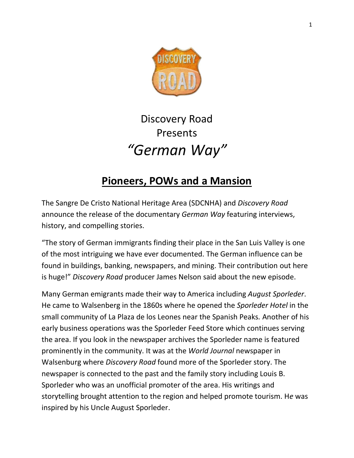

## Discovery Road Presents *"German Way"*

## **Pioneers, POWs and a Mansion**

The Sangre De Cristo National Heritage Area (SDCNHA) and *Discovery Road* announce the release of the documentary *German Way* featuring interviews, history, and compelling stories.

"The story of German immigrants finding their place in the San Luis Valley is one of the most intriguing we have ever documented. The German influence can be found in buildings, banking, newspapers, and mining. Their contribution out here is huge!" *Discovery Road* producer James Nelson said about the new episode.

Many German emigrants made their way to America including *August Sporleder*. He came to Walsenberg in the 1860s where he opened the *Sporleder Hotel* in the small community of La Plaza de los Leones near the Spanish Peaks*.* Another of his early business operations was the Sporleder Feed Store which continues serving the area. If you look in the newspaper archives the Sporleder name is featured prominently in the community. It was at the *World Journal* newspaper in Walsenburg where *Discovery Road* found more of the Sporleder story. The newspaper is connected to the past and the family story including Louis B. Sporleder who was an unofficial promoter of the area. His writings and storytelling brought attention to the region and helped promote tourism. H*e* was inspired by his Uncle August Sporleder.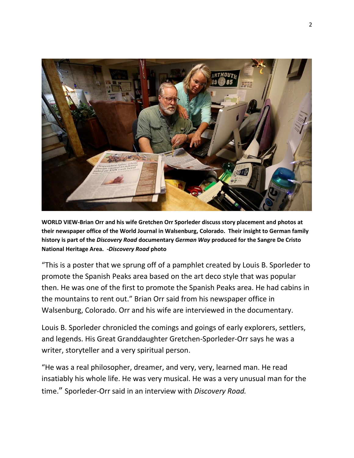

**WORLD VIEW-Brian Orr and his wife Gretchen Orr Sporleder discuss story placement and photos at their newspaper office of the World Journal in Walsenburg, Colorado. Their insight to German family history is part of the** *Discovery Road* **documentary** *German Way* **produced for the Sangre De Cristo National Heritage Area. -***Discovery Road* **photo**

"This is a poster that we sprung off of a pamphlet created by Louis B. Sporleder to promote the Spanish Peaks area based on the art deco style that was popular then. He was one of the first to promote the Spanish Peaks area. He had cabins in the mountains to rent out." Brian Orr said from his newspaper office in Walsenburg, Colorado. Orr and his wife are interviewed in the documentary.

Louis B. Sporleder chronicled the comings and goings of early explorers, settlers, and legends. His Great Granddaughter Gretchen-Sporleder-Orr says he was a writer, storyteller and a very spiritual person.

"He was a real philosopher, dreamer, and very, very, learned man. He read insatiably his whole life. He was very musical. He was a very unusual man for the time." Sporleder-Orr said in an interview with *Discovery Road.*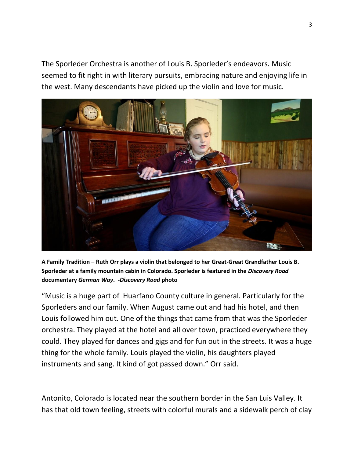The Sporleder Orchestra is another of Louis B. Sporleder's endeavors. Music seemed to fit right in with literary pursuits, embracing nature and enjoying life in the west. Many descendants have picked up the violin and love for music.



**A Family Tradition – Ruth Orr plays a violin that belonged to her Great-Great Grandfather Louis B. Sporleder at a family mountain cabin in Colorado. Sporleder is featured in the** *Discovery Road* **documentary** *German Way***.** *-Discovery Road* **photo** 

"Music is a huge part of Huarfano County culture in general. Particularly for the Sporleders and our family. When August came out and had his hotel, and then Louis followed him out. One of the things that came from that was the Sporleder orchestra. They played at the hotel and all over town, practiced everywhere they could. They played for dances and gigs and for fun out in the streets. It was a huge thing for the whole family. Louis played the violin, his daughters played instruments and sang. It kind of got passed down." Orr said.

Antonito, Colorado is located near the southern border in the San Luis Valley. It has that old town feeling, streets with colorful murals and a sidewalk perch of clay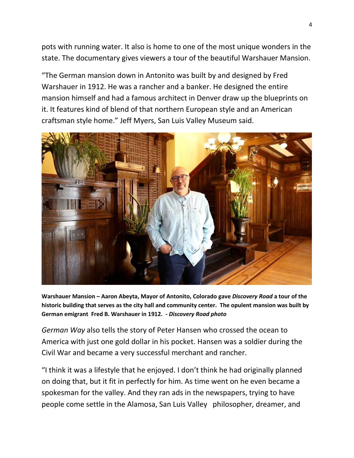pots with running water. It also is home to one of the most unique wonders in the state. The documentary gives viewers a tour of the beautiful Warshauer Mansion.

"The German mansion down in Antonito was built by and designed by Fred Warshauer in 1912. He was a rancher and a banker. He designed the entire mansion himself and had a famous architect in Denver draw up the blueprints on it. It features kind of blend of that northern European style and an American craftsman style home." Jeff Myers, San Luis Valley Museum said.



**Warshauer Mansion – Aaron Abeyta, Mayor of Antonito, Colorado gave** *Discovery Road* **a tour of the historic building that serves as the city hall and community center. The opulent mansion was built by German emigrant Fred B. Warshauer in 1912. -** *Discovery Road photo*

*German Way* also tells the story of Peter Hansen who crossed the ocean to America with just one gold dollar in his pocket. Hansen was a soldier during the Civil War and became a very successful merchant and rancher.

"I think it was a lifestyle that he enjoyed. I don't think he had originally planned on doing that, but it fit in perfectly for him. As time went on he even became a spokesman for the valley. And they ran ads in the newspapers, trying to have people come settle in the Alamosa, San Luis Valley philosopher, dreamer, and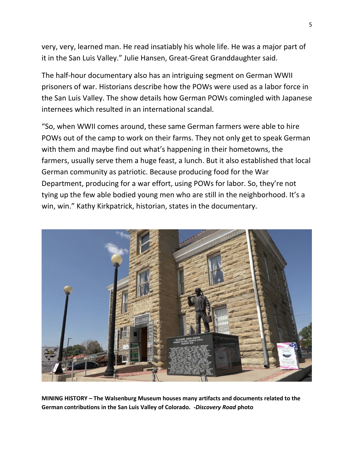very, very, learned man. He read insatiably his whole life. He was a major part of it in the San Luis Valley." Julie Hansen, Great-Great Granddaughter said.

The half-hour documentary also has an intriguing segment on German WWII prisoners of war. Historians describe how the POWs were used as a labor force in the San Luis Valley. The show details how German POWs comingled with Japanese internees which resulted in an international scandal.

"So, when WWII comes around, these same German farmers were able to hire POWs out of the camp to work on their farms. They not only get to speak German with them and maybe find out what's happening in their hometowns, the farmers, usually serve them a huge feast, a lunch. But it also established that local German community as patriotic. Because producing food for the War Department, producing for a war effort, using POWs for labor. So, they're not tying up the few able bodied young men who are still in the neighborhood. It's a win, win." Kathy Kirkpatrick, historian, states in the documentary.



**MINING HISTORY – The Walsenburg Museum houses many artifacts and documents related to the German contributions in the San Luis Valley of Colorado. -***Discovery Road* **photo**